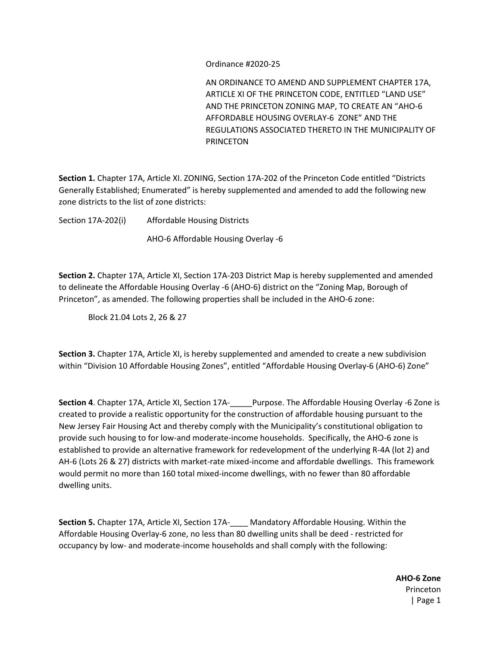Ordinance #2020-25

AN ORDINANCE TO AMEND AND SUPPLEMENT CHAPTER 17A, ARTICLE XI OF THE PRINCETON CODE, ENTITLED "LAND USE" AND THE PRINCETON ZONING MAP, TO CREATE AN "AHO-6 AFFORDABLE HOUSING OVERLAY-6 ZONE" AND THE REGULATIONS ASSOCIATED THERETO IN THE MUNICIPALITY OF PRINCETON

**Section 1.** Chapter 17A, Article XI. ZONING, Section 17A-202 of the Princeton Code entitled "Districts Generally Established; Enumerated" is hereby supplemented and amended to add the following new zone districts to the list of zone districts:

Section 17A-202(i) Affordable Housing Districts AHO-6 Affordable Housing Overlay -6

**Section 2.** Chapter 17A, Article XI, Section 17A-203 District Map is hereby supplemented and amended to delineate the Affordable Housing Overlay -6 (AHO-6) district on the "Zoning Map, Borough of Princeton", as amended. The following properties shall be included in the AHO-6 zone:

Block 21.04 Lots 2, 26 & 27

**Section 3.** Chapter 17A, Article XI, is hereby supplemented and amended to create a new subdivision within "Division 10 Affordable Housing Zones", entitled "Affordable Housing Overlay-6 (AHO-6) Zone"

**Section 4**. Chapter 17A, Article XI, Section 17A-\_\_\_\_\_Purpose. The Affordable Housing Overlay -6 Zone is created to provide a realistic opportunity for the construction of affordable housing pursuant to the New Jersey Fair Housing Act and thereby comply with the Municipality's constitutional obligation to provide such housing to for low-and moderate-income households. Specifically, the AHO-6 zone is established to provide an alternative framework for redevelopment of the underlying R-4A (lot 2) and AH-6 (Lots 26 & 27) districts with market-rate mixed-income and affordable dwellings. This framework would permit no more than 160 total mixed-income dwellings, with no fewer than 80 affordable dwelling units.

**Section 5.** Chapter 17A, Article XI, Section 17A-\_\_\_\_ Mandatory Affordable Housing. Within the Affordable Housing Overlay-6 zone, no less than 80 dwelling units shall be deed - restricted for occupancy by low- and moderate-income households and shall comply with the following: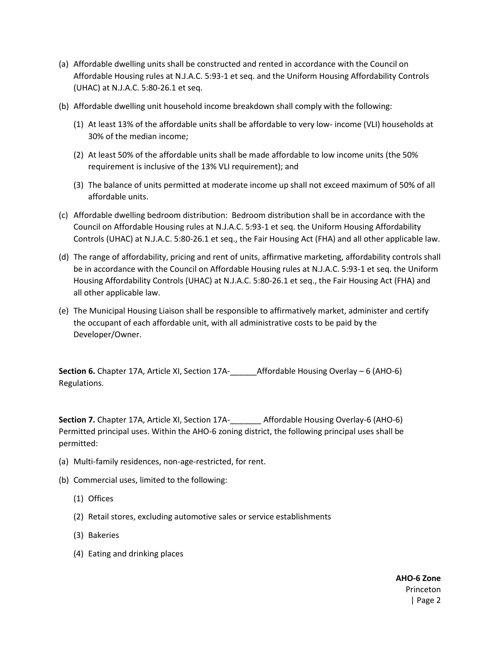- (a) Affordable dwelling units shall be constructed and rented in accordance with the Council on Affordable Housing rules at N.J.A.C. 5:93-1 et seq. and the Uniform Housing Affordability Controls (UHAC) at N.J.A.C. 5:80-26.1 et seq.
- (b) Affordable dwelling unit household income breakdown shall comply with the following:
	- (1) At least 13% of the affordable units shall be affordable to very low- income (VLI) households at 30% of the median income;
	- (2) At least 50% of the affordable units shall be made affordable to low income units (the 50% requirement is inclusive of the 13% VLI requirement); and
	- (3) The balance of units permitted at moderate income up shall not exceed maximum of 50% of all affordable units.
- (c) Affordable dwelling bedroom distribution: Bedroom distribution shall be in accordance with the Council on Affordable Housing rules at N.J.A.C. 5:93-1 et seq. the Uniform Housing Affordability Controls (UHAC) at N.J.A.C. 5:80-26.1 et seq., the Fair Housing Act (FHA) and all other applicable law.
- (d) The range of affordability, pricing and rent of units, affirmative marketing, affordability controls shall be in accordance with the Council on Affordable Housing rules at N.J.A.C. 5:93-1 et seq. the Uniform Housing Affordability Controls (UHAC) at N.J.A.C. 5:80-26.1 et seq., the Fair Housing Act (FHA) and all other applicable law.
- (e) The Municipal Housing Liaison shall be responsible to affirmatively market, administer and certify the occupant of each affordable unit, with all administrative costs to be paid by the Developer/Owner.

**Section 6.** Chapter 17A, Article XI, Section 17A-\_\_\_\_\_\_Affordable Housing Overlay – 6 (AHO-6) Regulations.

**Section 7.** Chapter 17A, Article XI, Section 17A-\_\_\_\_\_\_\_ Affordable Housing Overlay-6 (AHO-6) Permitted principal uses. Within the AHO-6 zoning district, the following principal uses shall be permitted:

- (a) Multi-family residences, non-age-restricted, for rent.
- (b) Commercial uses, limited to the following:
	- (1) Offices
	- (2) Retail stores, excluding automotive sales or service establishments
	- (3) Bakeries
	- (4) Eating and drinking places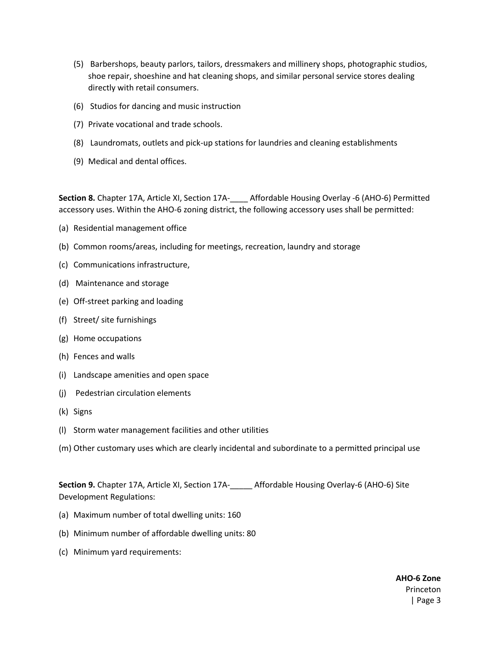- (5) Barbershops, beauty parlors, tailors, dressmakers and millinery shops, photographic studios, shoe repair, shoeshine and hat cleaning shops, and similar personal service stores dealing directly with retail consumers.
- (6) Studios for dancing and music instruction
- (7) Private vocational and trade schools.
- (8) Laundromats, outlets and pick-up stations for laundries and cleaning establishments
- (9) Medical and dental offices.

**Section 8.** Chapter 17A, Article XI, Section 17A-\_\_\_\_ Affordable Housing Overlay -6 (AHO-6) Permitted accessory uses. Within the AHO-6 zoning district, the following accessory uses shall be permitted:

- (a) Residential management office
- (b) Common rooms/areas, including for meetings, recreation, laundry and storage
- (c) Communications infrastructure,
- (d) Maintenance and storage
- (e) Off-street parking and loading
- (f) Street/ site furnishings
- (g) Home occupations
- (h) Fences and walls
- (i) Landscape amenities and open space
- (j) Pedestrian circulation elements
- (k) Signs
- (l) Storm water management facilities and other utilities
- (m) Other customary uses which are clearly incidental and subordinate to a permitted principal use

**Section 9.** Chapter 17A, Article XI, Section 17A-\_\_\_\_\_ Affordable Housing Overlay-6 (AHO-6) Site Development Regulations:

- (a) Maximum number of total dwelling units: 160
- (b) Minimum number of affordable dwelling units: 80
- (c) Minimum yard requirements: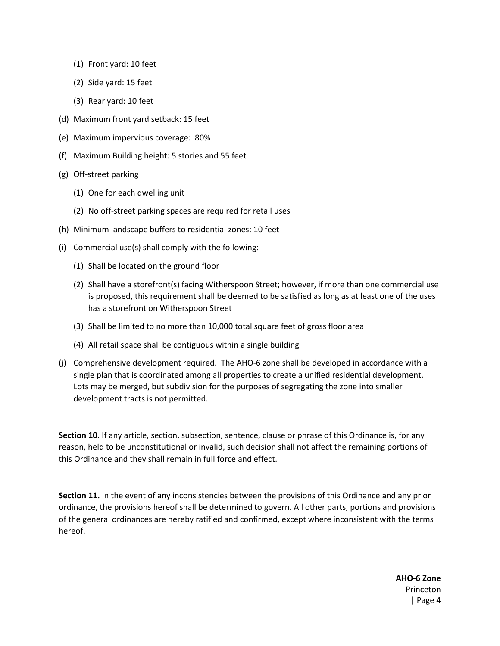- (1) Front yard: 10 feet
- (2) Side yard: 15 feet
- (3) Rear yard: 10 feet
- (d) Maximum front yard setback: 15 feet
- (e) Maximum impervious coverage: 80%
- (f) Maximum Building height: 5 stories and 55 feet
- (g) Off-street parking
	- (1) One for each dwelling unit
	- (2) No off-street parking spaces are required for retail uses
- (h) Minimum landscape buffers to residential zones: 10 feet
- (i) Commercial use(s) shall comply with the following:
	- (1) Shall be located on the ground floor
	- (2) Shall have a storefront(s) facing Witherspoon Street; however, if more than one commercial use is proposed, this requirement shall be deemed to be satisfied as long as at least one of the uses has a storefront on Witherspoon Street
	- (3) Shall be limited to no more than 10,000 total square feet of gross floor area
	- (4) All retail space shall be contiguous within a single building
- (j) Comprehensive development required. The AHO-6 zone shall be developed in accordance with a single plan that is coordinated among all properties to create a unified residential development. Lots may be merged, but subdivision for the purposes of segregating the zone into smaller development tracts is not permitted.

**Section 10**. If any article, section, subsection, sentence, clause or phrase of this Ordinance is, for any reason, held to be unconstitutional or invalid, such decision shall not affect the remaining portions of this Ordinance and they shall remain in full force and effect.

**Section 11.** In the event of any inconsistencies between the provisions of this Ordinance and any prior ordinance, the provisions hereof shall be determined to govern. All other parts, portions and provisions of the general ordinances are hereby ratified and confirmed, except where inconsistent with the terms hereof.

> **AHO-6 Zone** Princeton | Page 4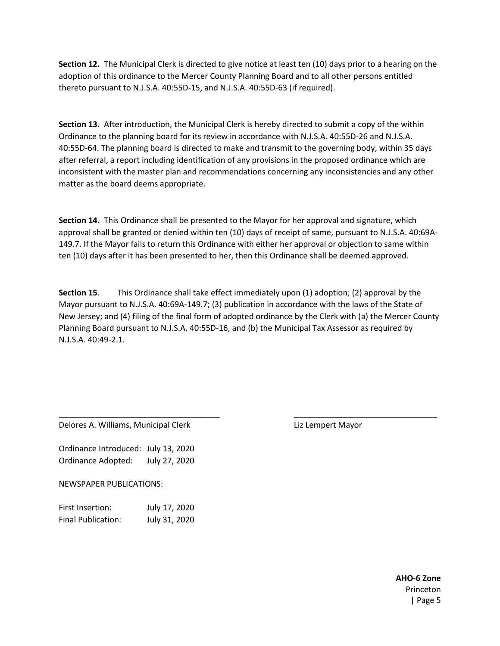**Section 12.** The Municipal Clerk is directed to give notice at least ten (10) days prior to a hearing on the adoption of this ordinance to the Mercer County Planning Board and to all other persons entitled thereto pursuant to N.J.S.A. 40:55D-15, and N.J.S.A. 40:55D-63 (if required).

**Section 13.** After introduction, the Municipal Clerk is hereby directed to submit a copy of the within Ordinance to the planning board for its review in accordance with N.J.S.A. 40:55D-26 and N.J.S.A. 40:55D-64. The planning board is directed to make and transmit to the governing body, within 35 days after referral, a report including identification of any provisions in the proposed ordinance which are inconsistent with the master plan and recommendations concerning any inconsistencies and any other matter as the board deems appropriate.

**Section 14.** This Ordinance shall be presented to the Mayor for her approval and signature, which approval shall be granted or denied within ten (10) days of receipt of same, pursuant to N.J.S.A. 40:69A-149.7. If the Mayor fails to return this Ordinance with either her approval or objection to same within ten (10) days after it has been presented to her, then this Ordinance shall be deemed approved.

**Section 15.** This Ordinance shall take effect immediately upon (1) adoption; (2) approval by the Mayor pursuant to N.J.S.A. 40:69A-149.7; (3) publication in accordance with the laws of the State of New Jersey; and (4) filing of the final form of adopted ordinance by the Clerk with (a) the Mercer County Planning Board pursuant to N.J.S.A. 40:55D-16, and (b) the Municipal Tax Assessor as required by N.J.S.A. 40:49-2.1.

\_\_\_\_\_\_\_\_\_\_\_\_\_\_\_\_\_\_\_\_\_\_\_\_\_\_\_\_\_\_\_\_\_\_\_\_ \_\_\_\_\_\_\_\_\_\_\_\_\_\_\_\_\_\_\_\_\_\_\_\_\_\_\_\_\_\_\_\_

Delores A. Williams, Municipal Clerk Lick Liz Lempert Mayor

Ordinance Introduced: July 13, 2020 Ordinance Adopted: July 27, 2020

NEWSPAPER PUBLICATIONS:

| First Insertion:          | July 17, 2020 |
|---------------------------|---------------|
| <b>Final Publication:</b> | July 31, 2020 |

**AHO-6 Zone** Princeton | Page 5